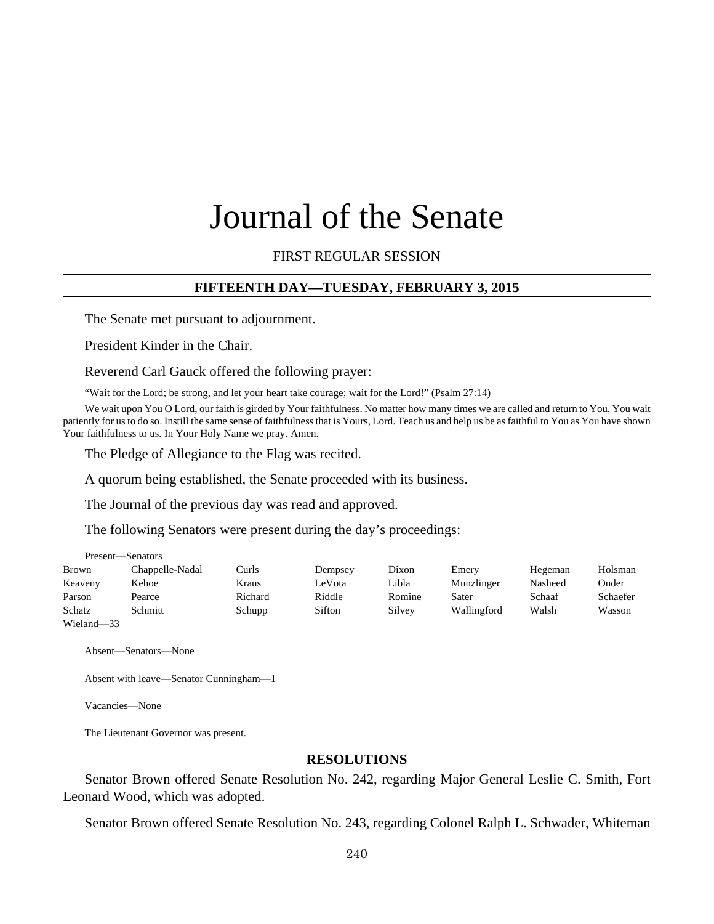# Journal of the Senate

FIRST REGULAR SESSION

## **FIFTEENTH DAY—TUESDAY, FEBRUARY 3, 2015**

The Senate met pursuant to adjournment.

President Kinder in the Chair.

Reverend Carl Gauck offered the following prayer:

"Wait for the Lord; be strong, and let your heart take courage; wait for the Lord!" (Psalm 27:14)

We wait upon You O Lord, our faith is girded by Your faithfulness. No matter how many times we are called and return to You, You wait patiently for us to do so. Instill the same sense of faithfulness that is Yours, Lord. Teach us and help us be as faithful to You as You have shown Your faithfulness to us. In Your Holy Name we pray. Amen.

The Pledge of Allegiance to the Flag was recited.

A quorum being established, the Senate proceeded with its business.

The Journal of the previous day was read and approved.

The following Senators were present during the day's proceedings:

| Present—Senators |                 |         |         |        |             |         |          |
|------------------|-----------------|---------|---------|--------|-------------|---------|----------|
| <b>Brown</b>     | Chappelle-Nadal | Curls   | Dempsey | Dixon  | Emery       | Hegeman | Holsman  |
| Keaveny          | Kehoe           | Kraus   | LeVota  | Libla  | Munzlinger  | Nasheed | Onder    |
| Parson           | Pearce          | Richard | Riddle  | Romine | Sater       | Schaaf  | Schaefer |
| Schatz           | Schmitt         | Schupp  | Sifton  | Silvey | Wallingford | Walsh   | Wasson   |
| Wieland-33       |                 |         |         |        |             |         |          |

Absent—Senators—None

```
Absent with leave—Senator Cunningham—1
```
Vacancies—None

The Lieutenant Governor was present.

## **RESOLUTIONS**

Senator Brown offered Senate Resolution No. 242, regarding Major General Leslie C. Smith, Fort Leonard Wood, which was adopted.

Senator Brown offered Senate Resolution No. 243, regarding Colonel Ralph L. Schwader, Whiteman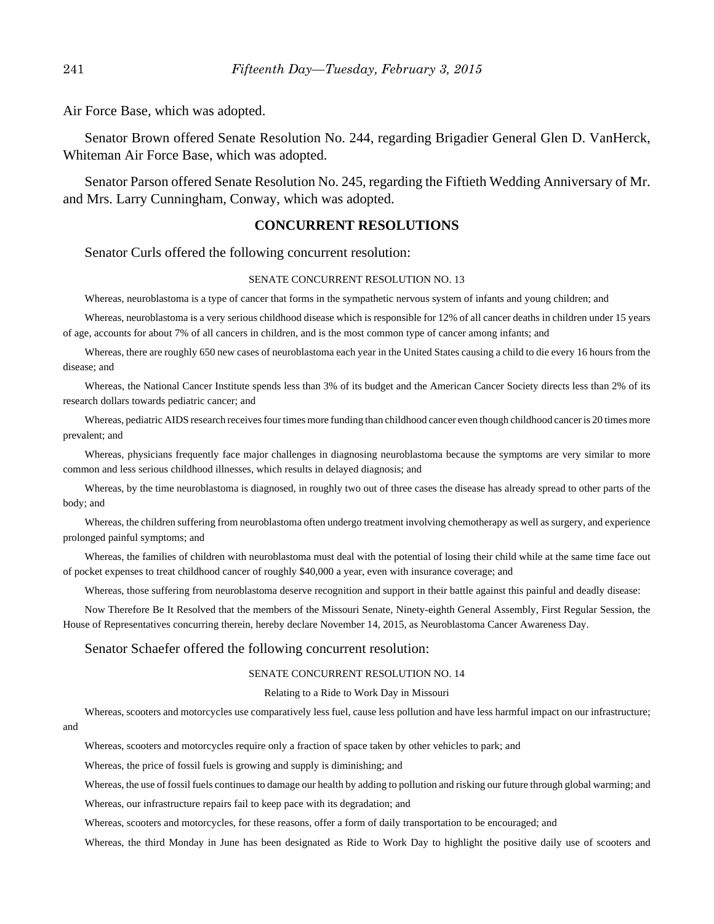Air Force Base, which was adopted.

Senator Brown offered Senate Resolution No. 244, regarding Brigadier General Glen D. VanHerck, Whiteman Air Force Base, which was adopted.

Senator Parson offered Senate Resolution No. 245, regarding the Fiftieth Wedding Anniversary of Mr. and Mrs. Larry Cunningham, Conway, which was adopted.

#### **CONCURRENT RESOLUTIONS**

Senator Curls offered the following concurrent resolution:

#### SENATE CONCURRENT RESOLUTION NO. 13

Whereas, neuroblastoma is a type of cancer that forms in the sympathetic nervous system of infants and young children; and

Whereas, neuroblastoma is a very serious childhood disease which is responsible for 12% of all cancer deaths in children under 15 years of age, accounts for about 7% of all cancers in children, and is the most common type of cancer among infants; and

Whereas, there are roughly 650 new cases of neuroblastoma each year in the United States causing a child to die every 16 hours from the disease; and

Whereas, the National Cancer Institute spends less than 3% of its budget and the American Cancer Society directs less than 2% of its research dollars towards pediatric cancer; and

Whereas, pediatric AIDS research receives four times more funding than childhood cancer even though childhood cancer is 20 times more prevalent; and

Whereas, physicians frequently face major challenges in diagnosing neuroblastoma because the symptoms are very similar to more common and less serious childhood illnesses, which results in delayed diagnosis; and

Whereas, by the time neuroblastoma is diagnosed, in roughly two out of three cases the disease has already spread to other parts of the body; and

Whereas, the children suffering from neuroblastoma often undergo treatment involving chemotherapy as well as surgery, and experience prolonged painful symptoms; and

Whereas, the families of children with neuroblastoma must deal with the potential of losing their child while at the same time face out of pocket expenses to treat childhood cancer of roughly \$40,000 a year, even with insurance coverage; and

Whereas, those suffering from neuroblastoma deserve recognition and support in their battle against this painful and deadly disease:

Now Therefore Be It Resolved that the members of the Missouri Senate, Ninety-eighth General Assembly, First Regular Session, the House of Representatives concurring therein, hereby declare November 14, 2015, as Neuroblastoma Cancer Awareness Day.

#### Senator Schaefer offered the following concurrent resolution:

#### SENATE CONCURRENT RESOLUTION NO. 14

#### Relating to a Ride to Work Day in Missouri

Whereas, scooters and motorcycles use comparatively less fuel, cause less pollution and have less harmful impact on our infrastructure; and

Whereas, scooters and motorcycles require only a fraction of space taken by other vehicles to park; and

Whereas, the price of fossil fuels is growing and supply is diminishing; and

Whereas, the use of fossil fuels continues to damage our health by adding to pollution and risking our future through global warming; and

Whereas, our infrastructure repairs fail to keep pace with its degradation; and

Whereas, scooters and motorcycles, for these reasons, offer a form of daily transportation to be encouraged; and

Whereas, the third Monday in June has been designated as Ride to Work Day to highlight the positive daily use of scooters and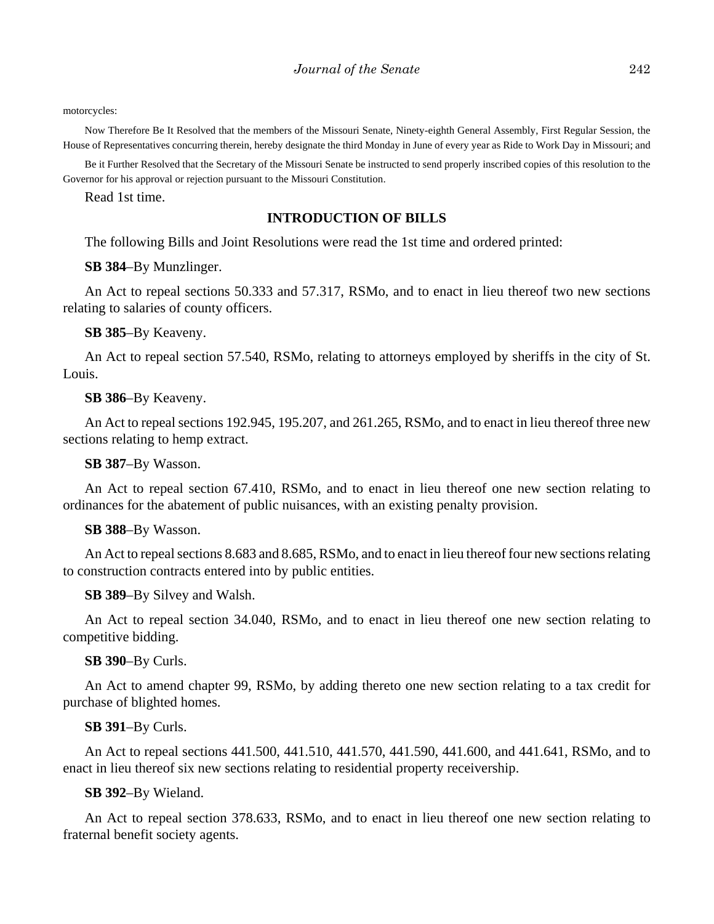motorcycles:

Now Therefore Be It Resolved that the members of the Missouri Senate, Ninety-eighth General Assembly, First Regular Session, the House of Representatives concurring therein, hereby designate the third Monday in June of every year as Ride to Work Day in Missouri; and

Be it Further Resolved that the Secretary of the Missouri Senate be instructed to send properly inscribed copies of this resolution to the Governor for his approval or rejection pursuant to the Missouri Constitution.

Read 1st time.

#### **INTRODUCTION OF BILLS**

The following Bills and Joint Resolutions were read the 1st time and ordered printed:

**SB 384**–By Munzlinger.

An Act to repeal sections 50.333 and 57.317, RSMo, and to enact in lieu thereof two new sections relating to salaries of county officers.

**SB 385**–By Keaveny.

An Act to repeal section 57.540, RSMo, relating to attorneys employed by sheriffs in the city of St. Louis.

**SB 386**–By Keaveny.

An Act to repeal sections 192.945, 195.207, and 261.265, RSMo, and to enact in lieu thereof three new sections relating to hemp extract.

**SB 387**–By Wasson.

An Act to repeal section 67.410, RSMo, and to enact in lieu thereof one new section relating to ordinances for the abatement of public nuisances, with an existing penalty provision.

**SB 388**–By Wasson.

An Act to repeal sections 8.683 and 8.685, RSMo, and to enact in lieu thereof four new sections relating to construction contracts entered into by public entities.

**SB 389**–By Silvey and Walsh.

An Act to repeal section 34.040, RSMo, and to enact in lieu thereof one new section relating to competitive bidding.

**SB 390**–By Curls.

An Act to amend chapter 99, RSMo, by adding thereto one new section relating to a tax credit for purchase of blighted homes.

#### **SB 391**–By Curls.

An Act to repeal sections 441.500, 441.510, 441.570, 441.590, 441.600, and 441.641, RSMo, and to enact in lieu thereof six new sections relating to residential property receivership.

**SB 392**–By Wieland.

An Act to repeal section 378.633, RSMo, and to enact in lieu thereof one new section relating to fraternal benefit society agents.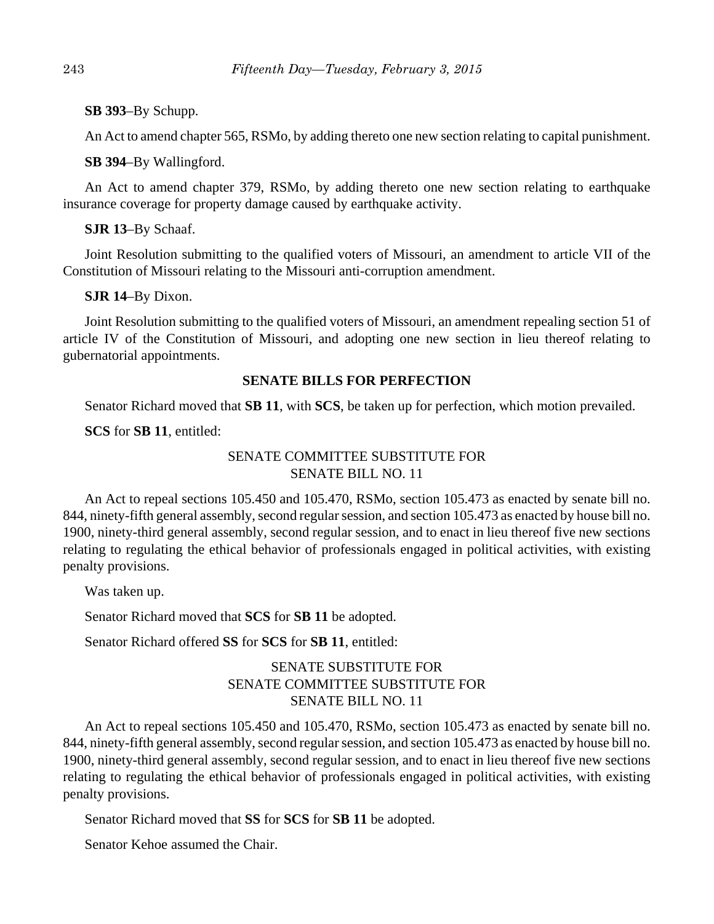**SB 393**–By Schupp.

An Act to amend chapter 565, RSMo, by adding thereto one new section relating to capital punishment.

**SB 394**–By Wallingford.

An Act to amend chapter 379, RSMo, by adding thereto one new section relating to earthquake insurance coverage for property damage caused by earthquake activity.

**SJR 13**–By Schaaf.

Joint Resolution submitting to the qualified voters of Missouri, an amendment to article VII of the Constitution of Missouri relating to the Missouri anti-corruption amendment.

**SJR 14**–By Dixon.

Joint Resolution submitting to the qualified voters of Missouri, an amendment repealing section 51 of article IV of the Constitution of Missouri, and adopting one new section in lieu thereof relating to gubernatorial appointments.

## **SENATE BILLS FOR PERFECTION**

Senator Richard moved that **SB 11**, with **SCS**, be taken up for perfection, which motion prevailed.

**SCS** for **SB 11**, entitled:

## SENATE COMMITTEE SUBSTITUTE FOR SENATE BILL NO. 11

An Act to repeal sections 105.450 and 105.470, RSMo, section 105.473 as enacted by senate bill no. 844, ninety-fifth general assembly, second regular session, and section 105.473 as enacted by house bill no. 1900, ninety-third general assembly, second regular session, and to enact in lieu thereof five new sections relating to regulating the ethical behavior of professionals engaged in political activities, with existing penalty provisions.

Was taken up.

Senator Richard moved that **SCS** for **SB 11** be adopted.

Senator Richard offered **SS** for **SCS** for **SB 11**, entitled:

# SENATE SUBSTITUTE FOR SENATE COMMITTEE SUBSTITUTE FOR SENATE BILL NO. 11

An Act to repeal sections 105.450 and 105.470, RSMo, section 105.473 as enacted by senate bill no. 844, ninety-fifth general assembly, second regular session, and section 105.473 as enacted by house bill no. 1900, ninety-third general assembly, second regular session, and to enact in lieu thereof five new sections relating to regulating the ethical behavior of professionals engaged in political activities, with existing penalty provisions.

Senator Richard moved that **SS** for **SCS** for **SB 11** be adopted.

Senator Kehoe assumed the Chair.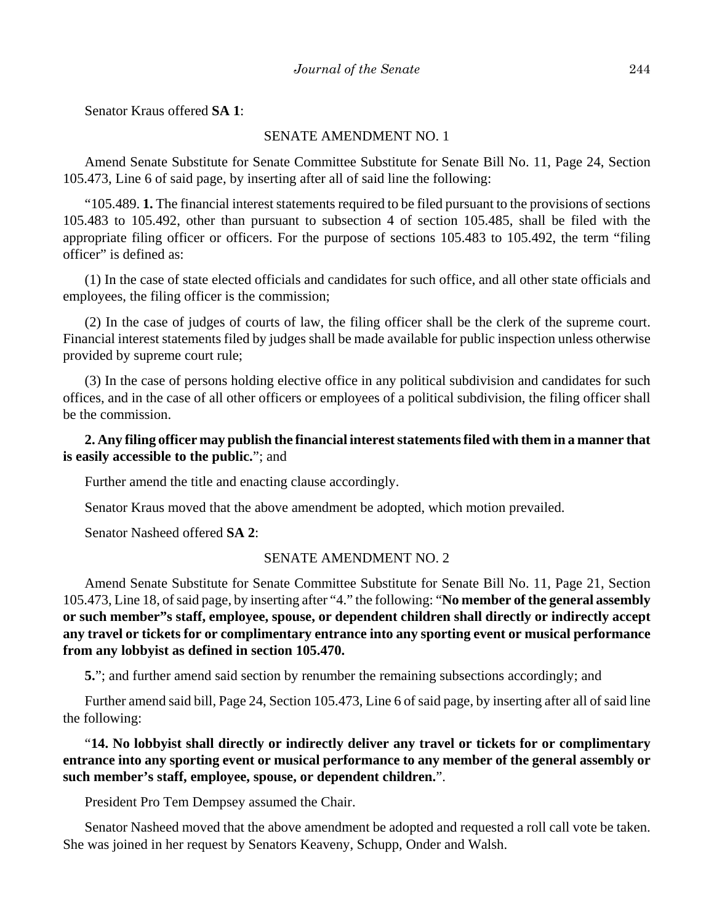Senator Kraus offered **SA 1**:

#### SENATE AMENDMENT NO. 1

Amend Senate Substitute for Senate Committee Substitute for Senate Bill No. 11, Page 24, Section 105.473, Line 6 of said page, by inserting after all of said line the following:

"105.489. **1.** The financial interest statements required to be filed pursuant to the provisions of sections 105.483 to 105.492, other than pursuant to subsection 4 of section 105.485, shall be filed with the appropriate filing officer or officers. For the purpose of sections 105.483 to 105.492, the term "filing officer" is defined as:

(1) In the case of state elected officials and candidates for such office, and all other state officials and employees, the filing officer is the commission;

(2) In the case of judges of courts of law, the filing officer shall be the clerk of the supreme court. Financial interest statements filed by judges shall be made available for public inspection unless otherwise provided by supreme court rule;

(3) In the case of persons holding elective office in any political subdivision and candidates for such offices, and in the case of all other officers or employees of a political subdivision, the filing officer shall be the commission.

## **2. Any filing officer may publish the financial interest statements filed with them in a manner that is easily accessible to the public.**"; and

Further amend the title and enacting clause accordingly.

Senator Kraus moved that the above amendment be adopted, which motion prevailed.

Senator Nasheed offered **SA 2**:

#### SENATE AMENDMENT NO. 2

Amend Senate Substitute for Senate Committee Substitute for Senate Bill No. 11, Page 21, Section 105.473, Line 18, of said page, by inserting after "4." the following: "**No member of the general assembly or such member"s staff, employee, spouse, or dependent children shall directly or indirectly accept any travel or tickets for or complimentary entrance into any sporting event or musical performance from any lobbyist as defined in section 105.470.**

**5.**"; and further amend said section by renumber the remaining subsections accordingly; and

Further amend said bill, Page 24, Section 105.473, Line 6 of said page, by inserting after all of said line the following:

## "**14. No lobbyist shall directly or indirectly deliver any travel or tickets for or complimentary entrance into any sporting event or musical performance to any member of the general assembly or such member's staff, employee, spouse, or dependent children.**".

President Pro Tem Dempsey assumed the Chair.

Senator Nasheed moved that the above amendment be adopted and requested a roll call vote be taken. She was joined in her request by Senators Keaveny, Schupp, Onder and Walsh.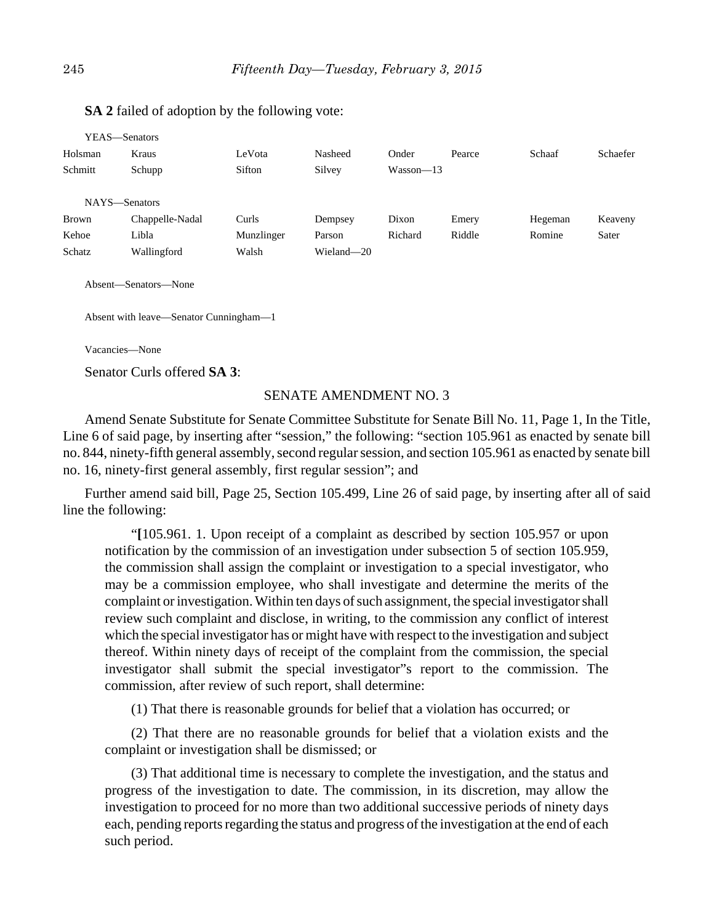| Y EAS—Senators |                 |            |            |             |        |         |          |
|----------------|-----------------|------------|------------|-------------|--------|---------|----------|
| Holsman        | Kraus           | LeVota     | Nasheed    | Onder       | Pearce | Schaaf  | Schaefer |
| Schmitt        | Schupp          | Sifton     | Silvey     | $Wasson-13$ |        |         |          |
|                |                 |            |            |             |        |         |          |
| NAYS-Senators  |                 |            |            |             |        |         |          |
| <b>Brown</b>   | Chappelle-Nadal | Curls      | Dempsey    | Dixon       | Emery  | Hegeman | Keaveny  |
| Kehoe          | Libla           | Munzlinger | Parson     | Richard     | Riddle | Romine  | Sater    |
| Schatz         | Wallingford     | Walsh      | Wieland-20 |             |        |         |          |
|                |                 |            |            |             |        |         |          |

## **SA 2** failed of adoption by the following vote:

Absent—Senators—None

Absent with leave—Senator Cunningham—1

Vacancies—None

Senator Curls offered **SA 3**:

#### SENATE AMENDMENT NO. 3

Amend Senate Substitute for Senate Committee Substitute for Senate Bill No. 11, Page 1, In the Title, Line 6 of said page, by inserting after "session," the following: "section 105.961 as enacted by senate bill no. 844, ninety-fifth general assembly, second regular session, and section 105.961 as enacted by senate bill no. 16, ninety-first general assembly, first regular session"; and

Further amend said bill, Page 25, Section 105.499, Line 26 of said page, by inserting after all of said line the following:

"**[**105.961. 1. Upon receipt of a complaint as described by section 105.957 or upon notification by the commission of an investigation under subsection 5 of section 105.959, the commission shall assign the complaint or investigation to a special investigator, who may be a commission employee, who shall investigate and determine the merits of the complaint or investigation. Within ten days of such assignment, the special investigator shall review such complaint and disclose, in writing, to the commission any conflict of interest which the special investigator has or might have with respect to the investigation and subject thereof. Within ninety days of receipt of the complaint from the commission, the special investigator shall submit the special investigator"s report to the commission. The commission, after review of such report, shall determine:

(1) That there is reasonable grounds for belief that a violation has occurred; or

(2) That there are no reasonable grounds for belief that a violation exists and the complaint or investigation shall be dismissed; or

(3) That additional time is necessary to complete the investigation, and the status and progress of the investigation to date. The commission, in its discretion, may allow the investigation to proceed for no more than two additional successive periods of ninety days each, pending reports regarding the status and progress of the investigation at the end of each such period.

 $\frac{1}{2}$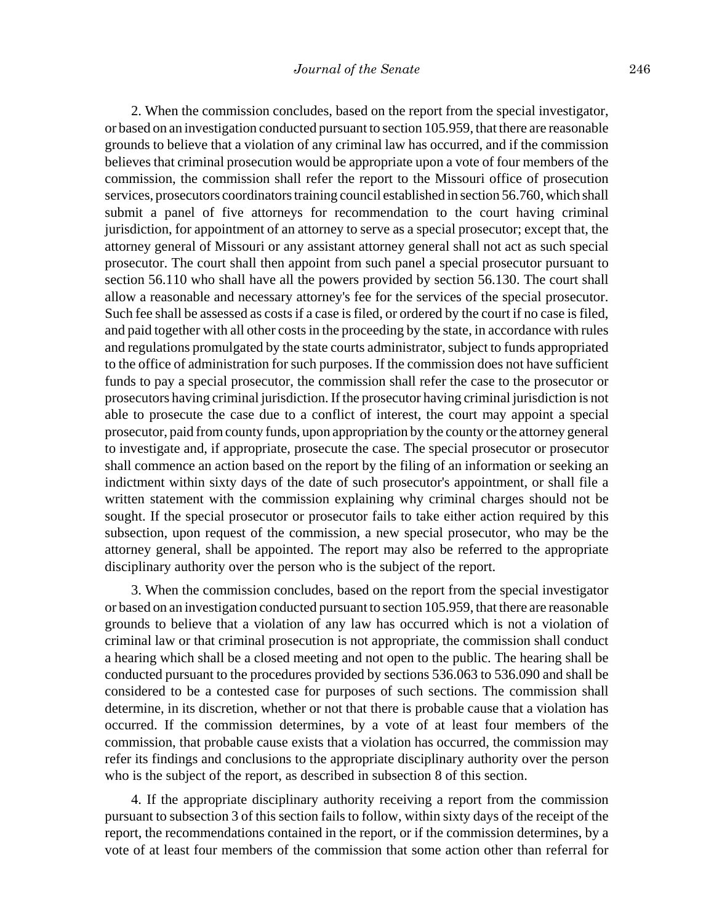2. When the commission concludes, based on the report from the special investigator, or based on an investigation conducted pursuant to section 105.959, that there are reasonable grounds to believe that a violation of any criminal law has occurred, and if the commission believes that criminal prosecution would be appropriate upon a vote of four members of the commission, the commission shall refer the report to the Missouri office of prosecution services, prosecutors coordinators training council established in section 56.760, which shall submit a panel of five attorneys for recommendation to the court having criminal jurisdiction, for appointment of an attorney to serve as a special prosecutor; except that, the attorney general of Missouri or any assistant attorney general shall not act as such special prosecutor. The court shall then appoint from such panel a special prosecutor pursuant to section 56.110 who shall have all the powers provided by section 56.130. The court shall allow a reasonable and necessary attorney's fee for the services of the special prosecutor. Such fee shall be assessed as costs if a case is filed, or ordered by the court if no case is filed, and paid together with all other costs in the proceeding by the state, in accordance with rules and regulations promulgated by the state courts administrator, subject to funds appropriated to the office of administration for such purposes. If the commission does not have sufficient funds to pay a special prosecutor, the commission shall refer the case to the prosecutor or prosecutors having criminal jurisdiction. If the prosecutor having criminal jurisdiction is not able to prosecute the case due to a conflict of interest, the court may appoint a special prosecutor, paid from county funds, upon appropriation by the county or the attorney general to investigate and, if appropriate, prosecute the case. The special prosecutor or prosecutor shall commence an action based on the report by the filing of an information or seeking an indictment within sixty days of the date of such prosecutor's appointment, or shall file a written statement with the commission explaining why criminal charges should not be sought. If the special prosecutor or prosecutor fails to take either action required by this subsection, upon request of the commission, a new special prosecutor, who may be the attorney general, shall be appointed. The report may also be referred to the appropriate disciplinary authority over the person who is the subject of the report.

3. When the commission concludes, based on the report from the special investigator or based on an investigation conducted pursuant to section 105.959, that there are reasonable grounds to believe that a violation of any law has occurred which is not a violation of criminal law or that criminal prosecution is not appropriate, the commission shall conduct a hearing which shall be a closed meeting and not open to the public. The hearing shall be conducted pursuant to the procedures provided by sections 536.063 to 536.090 and shall be considered to be a contested case for purposes of such sections. The commission shall determine, in its discretion, whether or not that there is probable cause that a violation has occurred. If the commission determines, by a vote of at least four members of the commission, that probable cause exists that a violation has occurred, the commission may refer its findings and conclusions to the appropriate disciplinary authority over the person who is the subject of the report, as described in subsection 8 of this section.

4. If the appropriate disciplinary authority receiving a report from the commission pursuant to subsection 3 of this section fails to follow, within sixty days of the receipt of the report, the recommendations contained in the report, or if the commission determines, by a vote of at least four members of the commission that some action other than referral for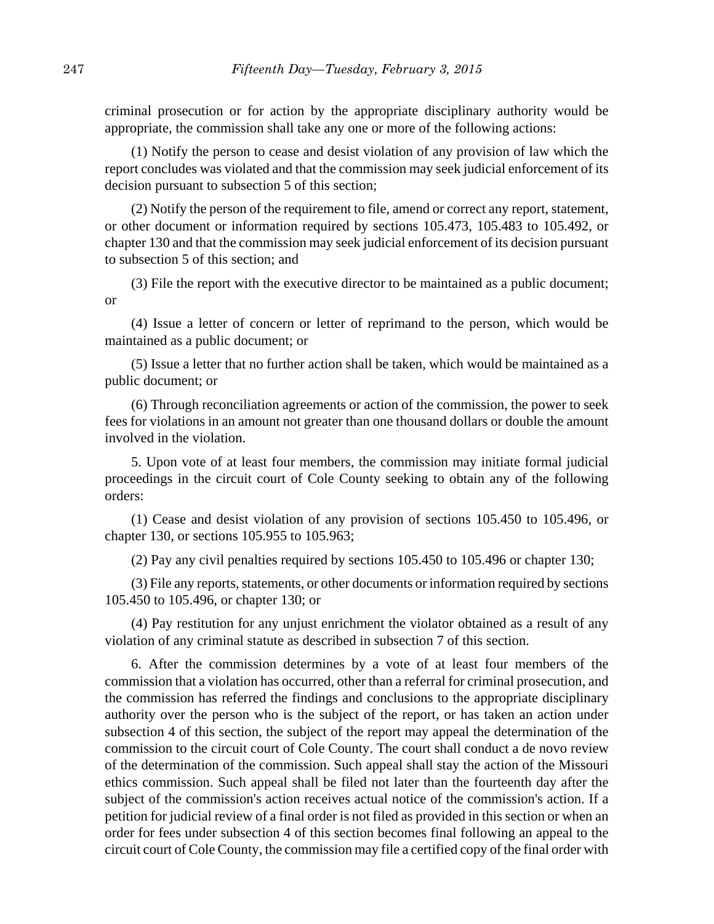criminal prosecution or for action by the appropriate disciplinary authority would be appropriate, the commission shall take any one or more of the following actions:

(1) Notify the person to cease and desist violation of any provision of law which the report concludes was violated and that the commission may seek judicial enforcement of its decision pursuant to subsection 5 of this section;

(2) Notify the person of the requirement to file, amend or correct any report, statement, or other document or information required by sections 105.473, 105.483 to 105.492, or chapter 130 and that the commission may seek judicial enforcement of its decision pursuant to subsection 5 of this section; and

(3) File the report with the executive director to be maintained as a public document; or

(4) Issue a letter of concern or letter of reprimand to the person, which would be maintained as a public document; or

(5) Issue a letter that no further action shall be taken, which would be maintained as a public document; or

(6) Through reconciliation agreements or action of the commission, the power to seek fees for violations in an amount not greater than one thousand dollars or double the amount involved in the violation.

5. Upon vote of at least four members, the commission may initiate formal judicial proceedings in the circuit court of Cole County seeking to obtain any of the following orders:

(1) Cease and desist violation of any provision of sections 105.450 to 105.496, or chapter 130, or sections 105.955 to 105.963;

(2) Pay any civil penalties required by sections 105.450 to 105.496 or chapter 130;

(3) File any reports, statements, or other documents or information required by sections 105.450 to 105.496, or chapter 130; or

(4) Pay restitution for any unjust enrichment the violator obtained as a result of any violation of any criminal statute as described in subsection 7 of this section.

6. After the commission determines by a vote of at least four members of the commission that a violation has occurred, other than a referral for criminal prosecution, and the commission has referred the findings and conclusions to the appropriate disciplinary authority over the person who is the subject of the report, or has taken an action under subsection 4 of this section, the subject of the report may appeal the determination of the commission to the circuit court of Cole County. The court shall conduct a de novo review of the determination of the commission. Such appeal shall stay the action of the Missouri ethics commission. Such appeal shall be filed not later than the fourteenth day after the subject of the commission's action receives actual notice of the commission's action. If a petition for judicial review of a final order is not filed as provided in this section or when an order for fees under subsection 4 of this section becomes final following an appeal to the circuit court of Cole County, the commission may file a certified copy of the final order with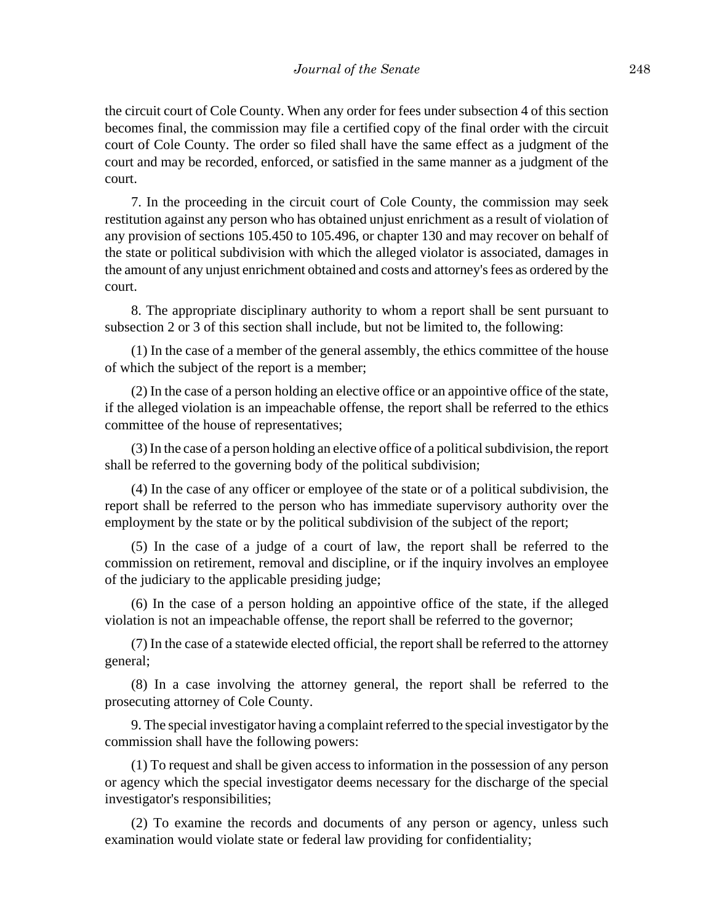the circuit court of Cole County. When any order for fees under subsection 4 of this section becomes final, the commission may file a certified copy of the final order with the circuit court of Cole County. The order so filed shall have the same effect as a judgment of the court and may be recorded, enforced, or satisfied in the same manner as a judgment of the court.

7. In the proceeding in the circuit court of Cole County, the commission may seek restitution against any person who has obtained unjust enrichment as a result of violation of any provision of sections 105.450 to 105.496, or chapter 130 and may recover on behalf of the state or political subdivision with which the alleged violator is associated, damages in the amount of any unjust enrichment obtained and costs and attorney's fees as ordered by the court.

8. The appropriate disciplinary authority to whom a report shall be sent pursuant to subsection 2 or 3 of this section shall include, but not be limited to, the following:

(1) In the case of a member of the general assembly, the ethics committee of the house of which the subject of the report is a member;

(2) In the case of a person holding an elective office or an appointive office of the state, if the alleged violation is an impeachable offense, the report shall be referred to the ethics committee of the house of representatives;

(3) In the case of a person holding an elective office of a political subdivision, the report shall be referred to the governing body of the political subdivision;

(4) In the case of any officer or employee of the state or of a political subdivision, the report shall be referred to the person who has immediate supervisory authority over the employment by the state or by the political subdivision of the subject of the report;

(5) In the case of a judge of a court of law, the report shall be referred to the commission on retirement, removal and discipline, or if the inquiry involves an employee of the judiciary to the applicable presiding judge;

(6) In the case of a person holding an appointive office of the state, if the alleged violation is not an impeachable offense, the report shall be referred to the governor;

(7) In the case of a statewide elected official, the report shall be referred to the attorney general;

(8) In a case involving the attorney general, the report shall be referred to the prosecuting attorney of Cole County.

9. The special investigator having a complaint referred to the special investigator by the commission shall have the following powers:

(1) To request and shall be given access to information in the possession of any person or agency which the special investigator deems necessary for the discharge of the special investigator's responsibilities;

(2) To examine the records and documents of any person or agency, unless such examination would violate state or federal law providing for confidentiality;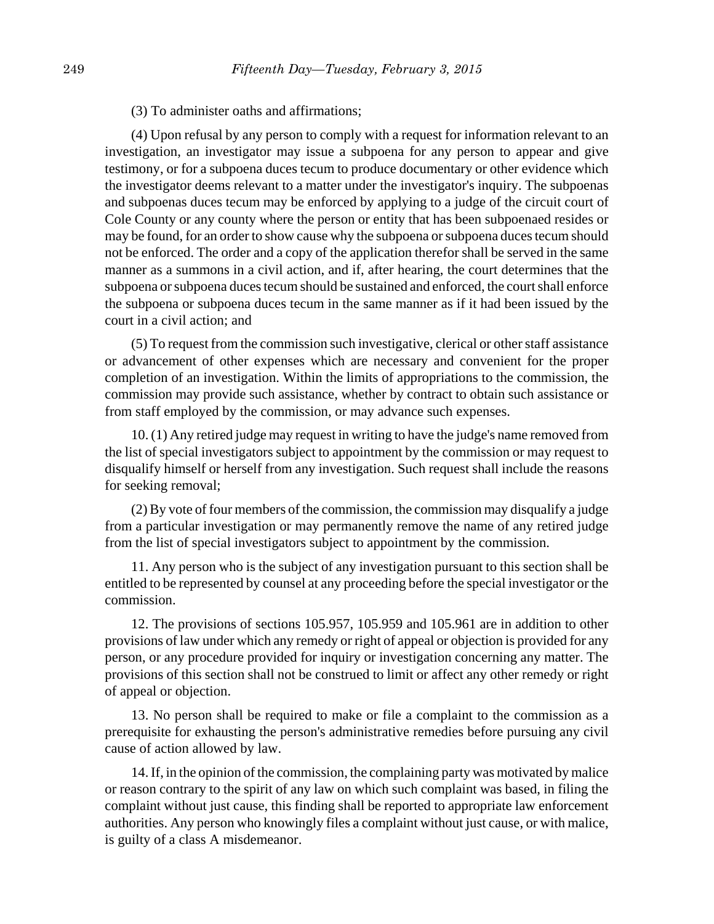#### (3) To administer oaths and affirmations;

(4) Upon refusal by any person to comply with a request for information relevant to an investigation, an investigator may issue a subpoena for any person to appear and give testimony, or for a subpoena duces tecum to produce documentary or other evidence which the investigator deems relevant to a matter under the investigator's inquiry. The subpoenas and subpoenas duces tecum may be enforced by applying to a judge of the circuit court of Cole County or any county where the person or entity that has been subpoenaed resides or may be found, for an order to show cause why the subpoena or subpoena duces tecum should not be enforced. The order and a copy of the application therefor shall be served in the same manner as a summons in a civil action, and if, after hearing, the court determines that the subpoena or subpoena duces tecum should be sustained and enforced, the court shall enforce the subpoena or subpoena duces tecum in the same manner as if it had been issued by the court in a civil action; and

(5) To request from the commission such investigative, clerical or other staff assistance or advancement of other expenses which are necessary and convenient for the proper completion of an investigation. Within the limits of appropriations to the commission, the commission may provide such assistance, whether by contract to obtain such assistance or from staff employed by the commission, or may advance such expenses.

10. (1) Any retired judge may request in writing to have the judge's name removed from the list of special investigators subject to appointment by the commission or may request to disqualify himself or herself from any investigation. Such request shall include the reasons for seeking removal;

(2) By vote of four members of the commission, the commission may disqualify a judge from a particular investigation or may permanently remove the name of any retired judge from the list of special investigators subject to appointment by the commission.

11. Any person who is the subject of any investigation pursuant to this section shall be entitled to be represented by counsel at any proceeding before the special investigator or the commission.

12. The provisions of sections 105.957, 105.959 and 105.961 are in addition to other provisions of law under which any remedy or right of appeal or objection is provided for any person, or any procedure provided for inquiry or investigation concerning any matter. The provisions of this section shall not be construed to limit or affect any other remedy or right of appeal or objection.

13. No person shall be required to make or file a complaint to the commission as a prerequisite for exhausting the person's administrative remedies before pursuing any civil cause of action allowed by law.

14. If, in the opinion of the commission, the complaining party was motivated by malice or reason contrary to the spirit of any law on which such complaint was based, in filing the complaint without just cause, this finding shall be reported to appropriate law enforcement authorities. Any person who knowingly files a complaint without just cause, or with malice, is guilty of a class A misdemeanor.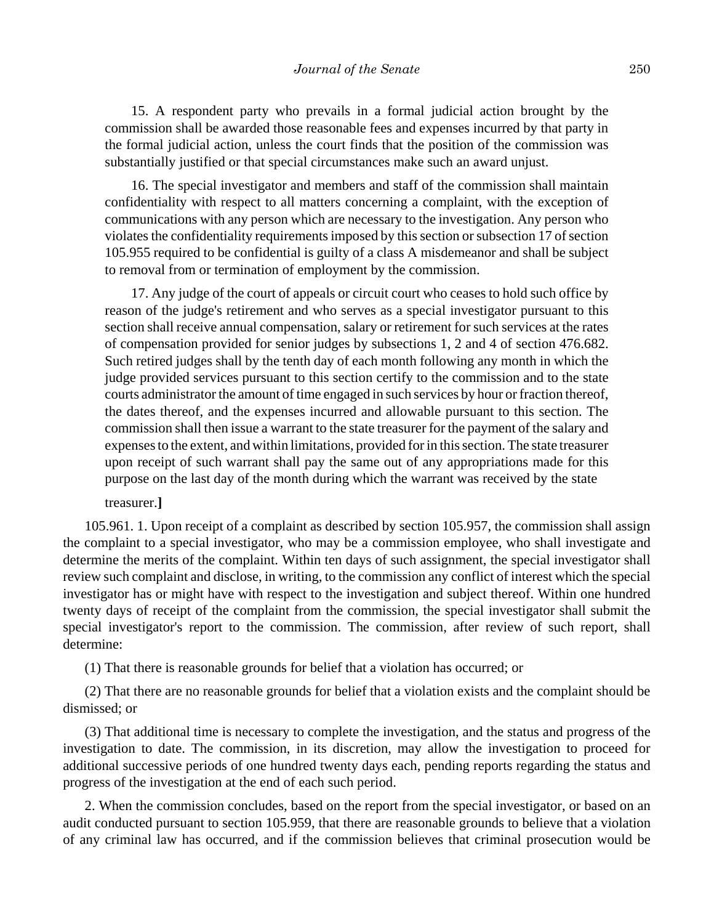15. A respondent party who prevails in a formal judicial action brought by the commission shall be awarded those reasonable fees and expenses incurred by that party in the formal judicial action, unless the court finds that the position of the commission was substantially justified or that special circumstances make such an award unjust.

16. The special investigator and members and staff of the commission shall maintain confidentiality with respect to all matters concerning a complaint, with the exception of communications with any person which are necessary to the investigation. Any person who violates the confidentiality requirements imposed by this section or subsection 17 of section 105.955 required to be confidential is guilty of a class A misdemeanor and shall be subject to removal from or termination of employment by the commission.

17. Any judge of the court of appeals or circuit court who ceases to hold such office by reason of the judge's retirement and who serves as a special investigator pursuant to this section shall receive annual compensation, salary or retirement for such services at the rates of compensation provided for senior judges by subsections 1, 2 and 4 of section 476.682. Such retired judges shall by the tenth day of each month following any month in which the judge provided services pursuant to this section certify to the commission and to the state courts administrator the amount of time engaged in such services by hour or fraction thereof, the dates thereof, and the expenses incurred and allowable pursuant to this section. The commission shall then issue a warrant to the state treasurer for the payment of the salary and expenses to the extent, and within limitations, provided for in this section. The state treasurer upon receipt of such warrant shall pay the same out of any appropriations made for this purpose on the last day of the month during which the warrant was received by the state

treasurer.**]**

105.961. 1. Upon receipt of a complaint as described by section 105.957, the commission shall assign the complaint to a special investigator, who may be a commission employee, who shall investigate and determine the merits of the complaint. Within ten days of such assignment, the special investigator shall review such complaint and disclose, in writing, to the commission any conflict of interest which the special investigator has or might have with respect to the investigation and subject thereof. Within one hundred twenty days of receipt of the complaint from the commission, the special investigator shall submit the special investigator's report to the commission. The commission, after review of such report, shall determine:

(1) That there is reasonable grounds for belief that a violation has occurred; or

(2) That there are no reasonable grounds for belief that a violation exists and the complaint should be dismissed; or

(3) That additional time is necessary to complete the investigation, and the status and progress of the investigation to date. The commission, in its discretion, may allow the investigation to proceed for additional successive periods of one hundred twenty days each, pending reports regarding the status and progress of the investigation at the end of each such period.

2. When the commission concludes, based on the report from the special investigator, or based on an audit conducted pursuant to section 105.959, that there are reasonable grounds to believe that a violation of any criminal law has occurred, and if the commission believes that criminal prosecution would be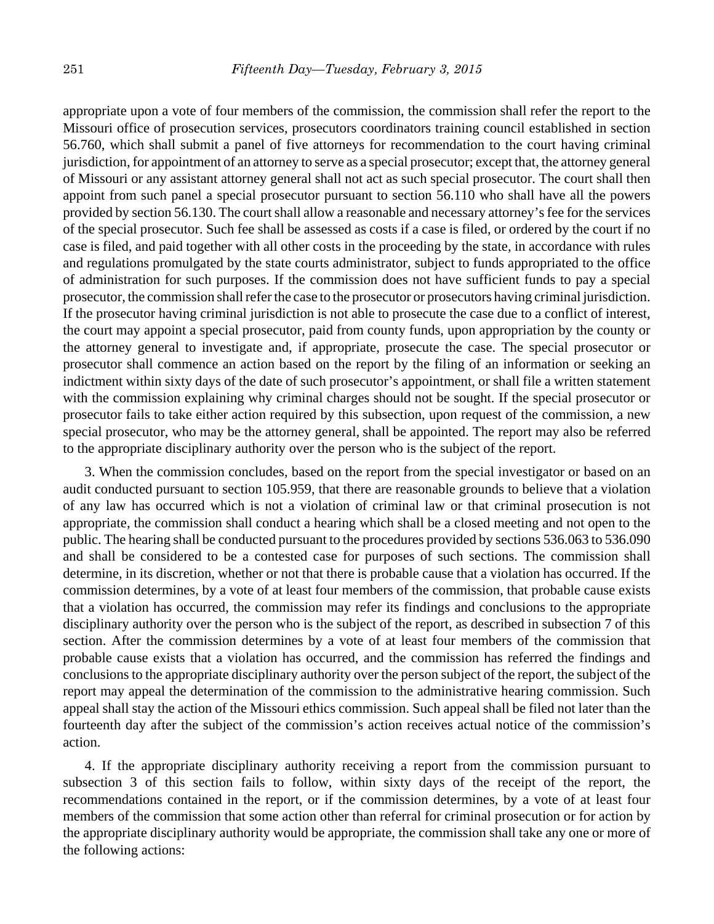appropriate upon a vote of four members of the commission, the commission shall refer the report to the Missouri office of prosecution services, prosecutors coordinators training council established in section 56.760, which shall submit a panel of five attorneys for recommendation to the court having criminal jurisdiction, for appointment of an attorney to serve as a special prosecutor; except that, the attorney general of Missouri or any assistant attorney general shall not act as such special prosecutor. The court shall then appoint from such panel a special prosecutor pursuant to section 56.110 who shall have all the powers provided by section 56.130. The court shall allow a reasonable and necessary attorney's fee for the services of the special prosecutor. Such fee shall be assessed as costs if a case is filed, or ordered by the court if no case is filed, and paid together with all other costs in the proceeding by the state, in accordance with rules and regulations promulgated by the state courts administrator, subject to funds appropriated to the office of administration for such purposes. If the commission does not have sufficient funds to pay a special prosecutor, the commission shall refer the case to the prosecutor or prosecutors having criminal jurisdiction. If the prosecutor having criminal jurisdiction is not able to prosecute the case due to a conflict of interest, the court may appoint a special prosecutor, paid from county funds, upon appropriation by the county or the attorney general to investigate and, if appropriate, prosecute the case. The special prosecutor or prosecutor shall commence an action based on the report by the filing of an information or seeking an indictment within sixty days of the date of such prosecutor's appointment, or shall file a written statement with the commission explaining why criminal charges should not be sought. If the special prosecutor or prosecutor fails to take either action required by this subsection, upon request of the commission, a new special prosecutor, who may be the attorney general, shall be appointed. The report may also be referred to the appropriate disciplinary authority over the person who is the subject of the report.

3. When the commission concludes, based on the report from the special investigator or based on an audit conducted pursuant to section 105.959, that there are reasonable grounds to believe that a violation of any law has occurred which is not a violation of criminal law or that criminal prosecution is not appropriate, the commission shall conduct a hearing which shall be a closed meeting and not open to the public. The hearing shall be conducted pursuant to the procedures provided by sections 536.063 to 536.090 and shall be considered to be a contested case for purposes of such sections. The commission shall determine, in its discretion, whether or not that there is probable cause that a violation has occurred. If the commission determines, by a vote of at least four members of the commission, that probable cause exists that a violation has occurred, the commission may refer its findings and conclusions to the appropriate disciplinary authority over the person who is the subject of the report, as described in subsection 7 of this section. After the commission determines by a vote of at least four members of the commission that probable cause exists that a violation has occurred, and the commission has referred the findings and conclusions to the appropriate disciplinary authority over the person subject of the report, the subject of the report may appeal the determination of the commission to the administrative hearing commission. Such appeal shall stay the action of the Missouri ethics commission. Such appeal shall be filed not later than the fourteenth day after the subject of the commission's action receives actual notice of the commission's action.

4. If the appropriate disciplinary authority receiving a report from the commission pursuant to subsection 3 of this section fails to follow, within sixty days of the receipt of the report, the recommendations contained in the report, or if the commission determines, by a vote of at least four members of the commission that some action other than referral for criminal prosecution or for action by the appropriate disciplinary authority would be appropriate, the commission shall take any one or more of the following actions: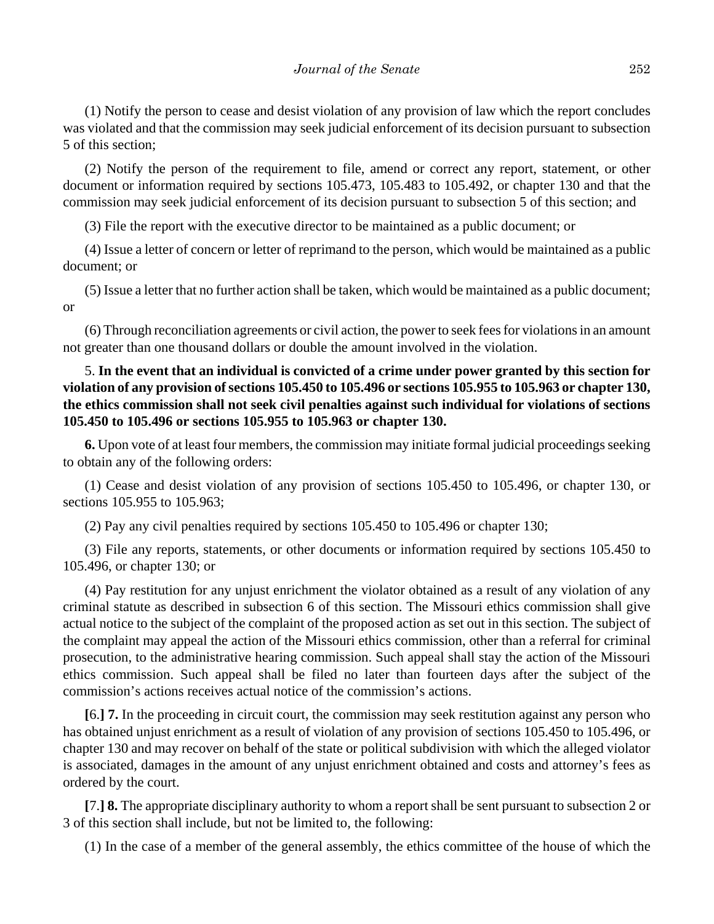(1) Notify the person to cease and desist violation of any provision of law which the report concludes was violated and that the commission may seek judicial enforcement of its decision pursuant to subsection 5 of this section;

(2) Notify the person of the requirement to file, amend or correct any report, statement, or other document or information required by sections 105.473, 105.483 to 105.492, or chapter 130 and that the commission may seek judicial enforcement of its decision pursuant to subsection 5 of this section; and

(3) File the report with the executive director to be maintained as a public document; or

(4) Issue a letter of concern or letter of reprimand to the person, which would be maintained as a public document; or

(5) Issue a letter that no further action shall be taken, which would be maintained as a public document; or

(6) Through reconciliation agreements or civil action, the power to seek fees for violations in an amount not greater than one thousand dollars or double the amount involved in the violation.

# 5. **In the event that an individual is convicted of a crime under power granted by this section for violation of any provision of sections 105.450 to 105.496 or sections 105.955 to 105.963 or chapter 130, the ethics commission shall not seek civil penalties against such individual for violations of sections 105.450 to 105.496 or sections 105.955 to 105.963 or chapter 130.**

**6.** Upon vote of at least four members, the commission may initiate formal judicial proceedings seeking to obtain any of the following orders:

(1) Cease and desist violation of any provision of sections 105.450 to 105.496, or chapter 130, or sections 105.955 to 105.963;

(2) Pay any civil penalties required by sections 105.450 to 105.496 or chapter 130;

(3) File any reports, statements, or other documents or information required by sections 105.450 to 105.496, or chapter 130; or

(4) Pay restitution for any unjust enrichment the violator obtained as a result of any violation of any criminal statute as described in subsection 6 of this section. The Missouri ethics commission shall give actual notice to the subject of the complaint of the proposed action as set out in this section. The subject of the complaint may appeal the action of the Missouri ethics commission, other than a referral for criminal prosecution, to the administrative hearing commission. Such appeal shall stay the action of the Missouri ethics commission. Such appeal shall be filed no later than fourteen days after the subject of the commission's actions receives actual notice of the commission's actions.

**[**6.**] 7.** In the proceeding in circuit court, the commission may seek restitution against any person who has obtained unjust enrichment as a result of violation of any provision of sections 105.450 to 105.496, or chapter 130 and may recover on behalf of the state or political subdivision with which the alleged violator is associated, damages in the amount of any unjust enrichment obtained and costs and attorney's fees as ordered by the court.

**[**7.**] 8.** The appropriate disciplinary authority to whom a report shall be sent pursuant to subsection 2 or 3 of this section shall include, but not be limited to, the following:

(1) In the case of a member of the general assembly, the ethics committee of the house of which the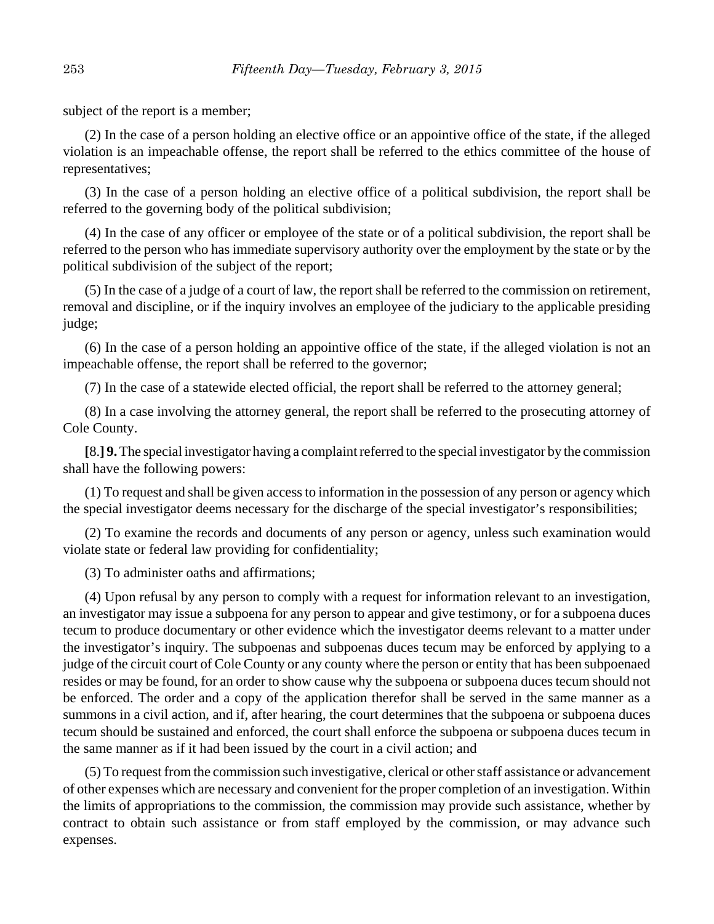subject of the report is a member;

(2) In the case of a person holding an elective office or an appointive office of the state, if the alleged violation is an impeachable offense, the report shall be referred to the ethics committee of the house of representatives;

(3) In the case of a person holding an elective office of a political subdivision, the report shall be referred to the governing body of the political subdivision;

(4) In the case of any officer or employee of the state or of a political subdivision, the report shall be referred to the person who has immediate supervisory authority over the employment by the state or by the political subdivision of the subject of the report;

(5) In the case of a judge of a court of law, the report shall be referred to the commission on retirement, removal and discipline, or if the inquiry involves an employee of the judiciary to the applicable presiding judge;

(6) In the case of a person holding an appointive office of the state, if the alleged violation is not an impeachable offense, the report shall be referred to the governor;

(7) In the case of a statewide elected official, the report shall be referred to the attorney general;

(8) In a case involving the attorney general, the report shall be referred to the prosecuting attorney of Cole County.

**[**8.**] 9.** The special investigator having a complaint referred to the special investigator by the commission shall have the following powers:

(1) To request and shall be given access to information in the possession of any person or agency which the special investigator deems necessary for the discharge of the special investigator's responsibilities;

(2) To examine the records and documents of any person or agency, unless such examination would violate state or federal law providing for confidentiality;

(3) To administer oaths and affirmations;

(4) Upon refusal by any person to comply with a request for information relevant to an investigation, an investigator may issue a subpoena for any person to appear and give testimony, or for a subpoena duces tecum to produce documentary or other evidence which the investigator deems relevant to a matter under the investigator's inquiry. The subpoenas and subpoenas duces tecum may be enforced by applying to a judge of the circuit court of Cole County or any county where the person or entity that has been subpoenaed resides or may be found, for an order to show cause why the subpoena or subpoena duces tecum should not be enforced. The order and a copy of the application therefor shall be served in the same manner as a summons in a civil action, and if, after hearing, the court determines that the subpoena or subpoena duces tecum should be sustained and enforced, the court shall enforce the subpoena or subpoena duces tecum in the same manner as if it had been issued by the court in a civil action; and

(5) To request from the commission such investigative, clerical or other staff assistance or advancement of other expenses which are necessary and convenient for the proper completion of an investigation. Within the limits of appropriations to the commission, the commission may provide such assistance, whether by contract to obtain such assistance or from staff employed by the commission, or may advance such expenses.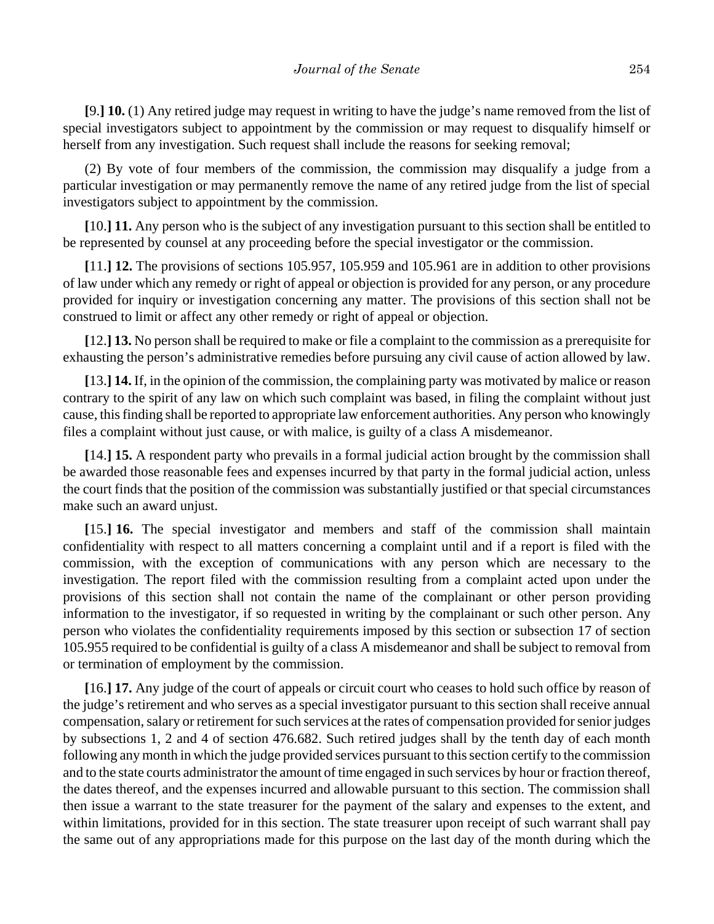**[**9.**] 10.** (1) Any retired judge may request in writing to have the judge's name removed from the list of special investigators subject to appointment by the commission or may request to disqualify himself or herself from any investigation. Such request shall include the reasons for seeking removal;

(2) By vote of four members of the commission, the commission may disqualify a judge from a particular investigation or may permanently remove the name of any retired judge from the list of special investigators subject to appointment by the commission.

**[**10.**] 11.** Any person who is the subject of any investigation pursuant to this section shall be entitled to be represented by counsel at any proceeding before the special investigator or the commission.

**[**11.**] 12.** The provisions of sections 105.957, 105.959 and 105.961 are in addition to other provisions of law under which any remedy or right of appeal or objection is provided for any person, or any procedure provided for inquiry or investigation concerning any matter. The provisions of this section shall not be construed to limit or affect any other remedy or right of appeal or objection.

**[**12.**] 13.** No person shall be required to make or file a complaint to the commission as a prerequisite for exhausting the person's administrative remedies before pursuing any civil cause of action allowed by law.

**[**13.**] 14.** If, in the opinion of the commission, the complaining party was motivated by malice or reason contrary to the spirit of any law on which such complaint was based, in filing the complaint without just cause, this finding shall be reported to appropriate law enforcement authorities. Any person who knowingly files a complaint without just cause, or with malice, is guilty of a class A misdemeanor.

**[**14.**] 15.** A respondent party who prevails in a formal judicial action brought by the commission shall be awarded those reasonable fees and expenses incurred by that party in the formal judicial action, unless the court finds that the position of the commission was substantially justified or that special circumstances make such an award unjust.

**[**15.**] 16.** The special investigator and members and staff of the commission shall maintain confidentiality with respect to all matters concerning a complaint until and if a report is filed with the commission, with the exception of communications with any person which are necessary to the investigation. The report filed with the commission resulting from a complaint acted upon under the provisions of this section shall not contain the name of the complainant or other person providing information to the investigator, if so requested in writing by the complainant or such other person. Any person who violates the confidentiality requirements imposed by this section or subsection 17 of section 105.955 required to be confidential is guilty of a class A misdemeanor and shall be subject to removal from or termination of employment by the commission.

**[**16.**] 17.** Any judge of the court of appeals or circuit court who ceases to hold such office by reason of the judge's retirement and who serves as a special investigator pursuant to this section shall receive annual compensation, salary or retirement for such services at the rates of compensation provided for senior judges by subsections 1, 2 and 4 of section 476.682. Such retired judges shall by the tenth day of each month following any month in which the judge provided services pursuant to this section certify to the commission and to the state courts administrator the amount of time engaged in such services by hour or fraction thereof, the dates thereof, and the expenses incurred and allowable pursuant to this section. The commission shall then issue a warrant to the state treasurer for the payment of the salary and expenses to the extent, and within limitations, provided for in this section. The state treasurer upon receipt of such warrant shall pay the same out of any appropriations made for this purpose on the last day of the month during which the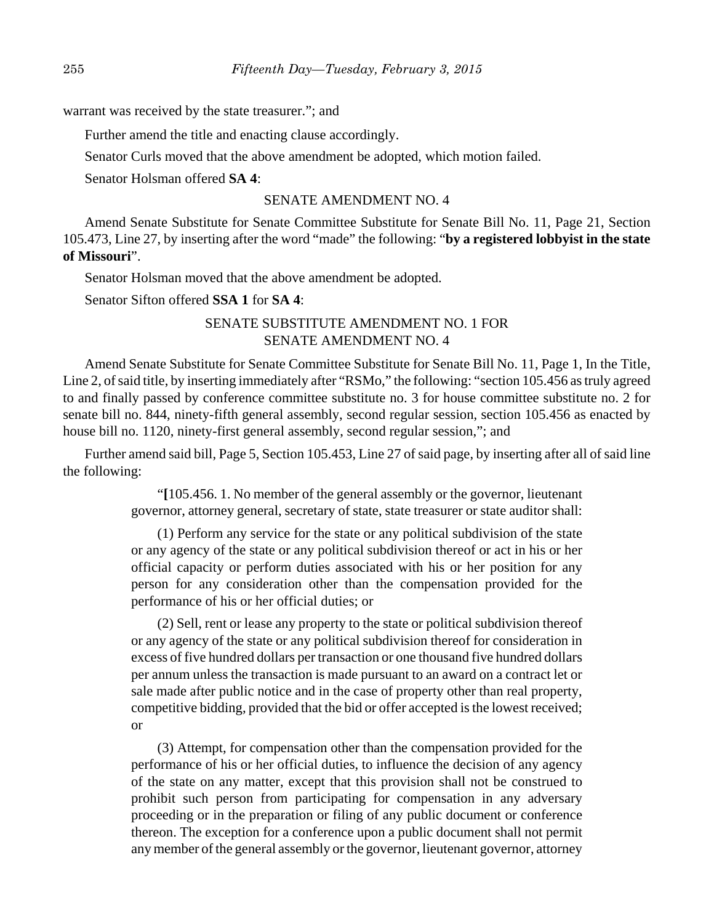warrant was received by the state treasurer."; and

Further amend the title and enacting clause accordingly.

Senator Curls moved that the above amendment be adopted, which motion failed.

Senator Holsman offered **SA 4**:

#### SENATE AMENDMENT NO. 4

Amend Senate Substitute for Senate Committee Substitute for Senate Bill No. 11, Page 21, Section 105.473, Line 27, by inserting after the word "made" the following: "**by a registered lobbyist in the state of Missouri**".

Senator Holsman moved that the above amendment be adopted.

Senator Sifton offered **SSA 1** for **SA 4**:

## SENATE SUBSTITUTE AMENDMENT NO. 1 FOR SENATE AMENDMENT NO. 4

Amend Senate Substitute for Senate Committee Substitute for Senate Bill No. 11, Page 1, In the Title, Line 2, of said title, by inserting immediately after "RSMo," the following: "section 105.456 as truly agreed to and finally passed by conference committee substitute no. 3 for house committee substitute no. 2 for senate bill no. 844, ninety-fifth general assembly, second regular session, section 105.456 as enacted by house bill no. 1120, ninety-first general assembly, second regular session,"; and

Further amend said bill, Page 5, Section 105.453, Line 27 of said page, by inserting after all of said line the following:

> "**[**105.456. 1. No member of the general assembly or the governor, lieutenant governor, attorney general, secretary of state, state treasurer or state auditor shall:

> (1) Perform any service for the state or any political subdivision of the state or any agency of the state or any political subdivision thereof or act in his or her official capacity or perform duties associated with his or her position for any person for any consideration other than the compensation provided for the performance of his or her official duties; or

> (2) Sell, rent or lease any property to the state or political subdivision thereof or any agency of the state or any political subdivision thereof for consideration in excess of five hundred dollars per transaction or one thousand five hundred dollars per annum unless the transaction is made pursuant to an award on a contract let or sale made after public notice and in the case of property other than real property, competitive bidding, provided that the bid or offer accepted is the lowest received; or

> (3) Attempt, for compensation other than the compensation provided for the performance of his or her official duties, to influence the decision of any agency of the state on any matter, except that this provision shall not be construed to prohibit such person from participating for compensation in any adversary proceeding or in the preparation or filing of any public document or conference thereon. The exception for a conference upon a public document shall not permit any member of the general assembly or the governor, lieutenant governor, attorney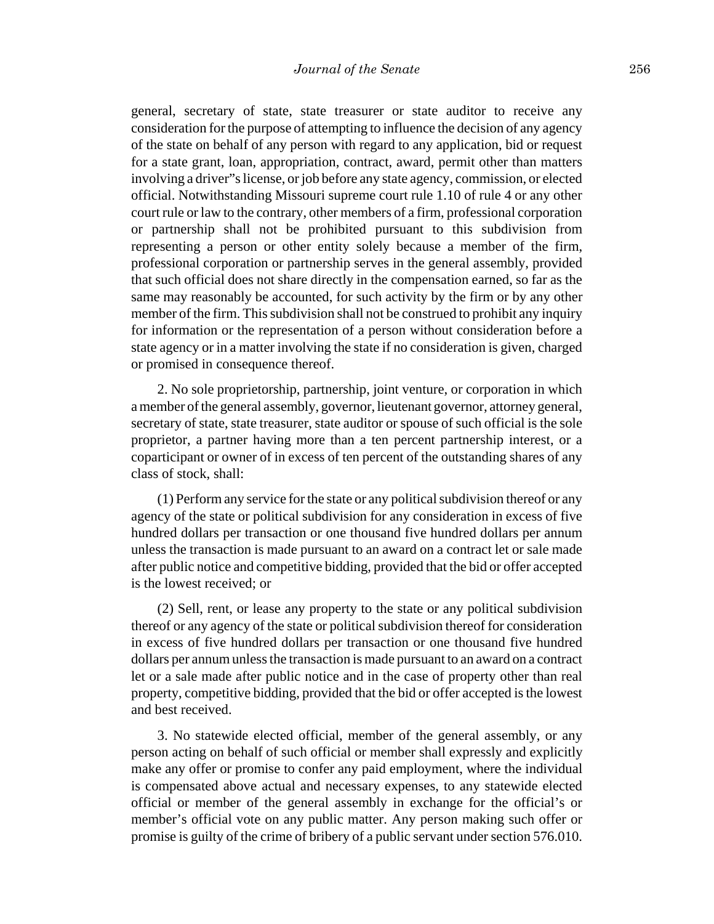general, secretary of state, state treasurer or state auditor to receive any consideration for the purpose of attempting to influence the decision of any agency of the state on behalf of any person with regard to any application, bid or request for a state grant, loan, appropriation, contract, award, permit other than matters involving a driver"s license, or job before any state agency, commission, or elected official. Notwithstanding Missouri supreme court rule 1.10 of rule 4 or any other court rule or law to the contrary, other members of a firm, professional corporation or partnership shall not be prohibited pursuant to this subdivision from representing a person or other entity solely because a member of the firm, professional corporation or partnership serves in the general assembly, provided that such official does not share directly in the compensation earned, so far as the same may reasonably be accounted, for such activity by the firm or by any other member of the firm. This subdivision shall not be construed to prohibit any inquiry for information or the representation of a person without consideration before a state agency or in a matter involving the state if no consideration is given, charged or promised in consequence thereof.

2. No sole proprietorship, partnership, joint venture, or corporation in which a member of the general assembly, governor, lieutenant governor, attorney general, secretary of state, state treasurer, state auditor or spouse of such official is the sole proprietor, a partner having more than a ten percent partnership interest, or a coparticipant or owner of in excess of ten percent of the outstanding shares of any class of stock, shall:

(1) Perform any service for the state or any political subdivision thereof or any agency of the state or political subdivision for any consideration in excess of five hundred dollars per transaction or one thousand five hundred dollars per annum unless the transaction is made pursuant to an award on a contract let or sale made after public notice and competitive bidding, provided that the bid or offer accepted is the lowest received; or

(2) Sell, rent, or lease any property to the state or any political subdivision thereof or any agency of the state or political subdivision thereof for consideration in excess of five hundred dollars per transaction or one thousand five hundred dollars per annum unless the transaction is made pursuant to an award on a contract let or a sale made after public notice and in the case of property other than real property, competitive bidding, provided that the bid or offer accepted is the lowest and best received.

3. No statewide elected official, member of the general assembly, or any person acting on behalf of such official or member shall expressly and explicitly make any offer or promise to confer any paid employment, where the individual is compensated above actual and necessary expenses, to any statewide elected official or member of the general assembly in exchange for the official's or member's official vote on any public matter. Any person making such offer or promise is guilty of the crime of bribery of a public servant under section 576.010.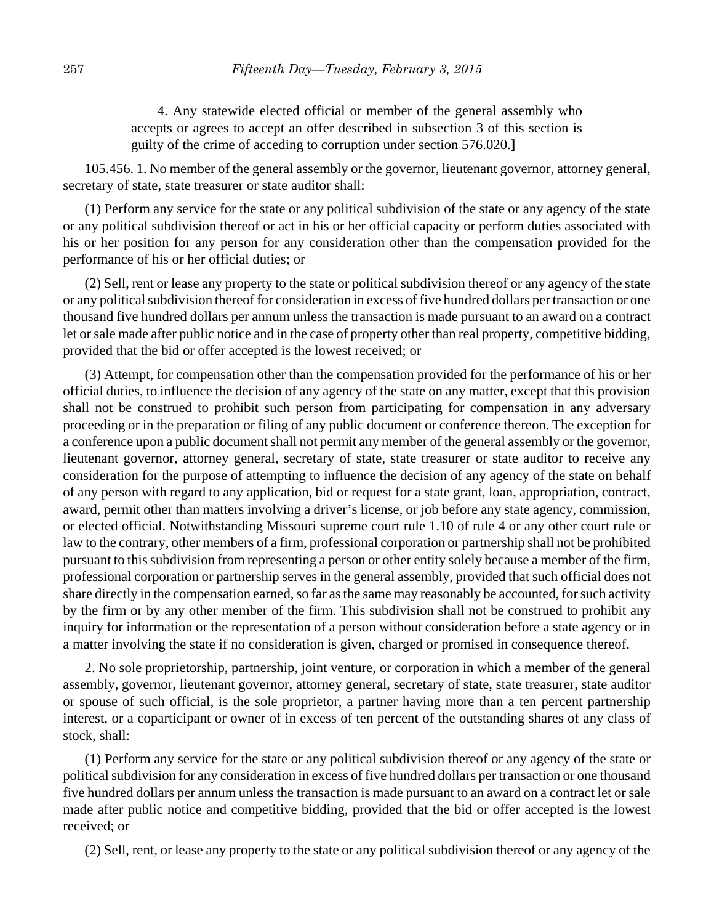4. Any statewide elected official or member of the general assembly who accepts or agrees to accept an offer described in subsection 3 of this section is guilty of the crime of acceding to corruption under section 576.020.**]**

105.456. 1. No member of the general assembly or the governor, lieutenant governor, attorney general, secretary of state, state treasurer or state auditor shall:

(1) Perform any service for the state or any political subdivision of the state or any agency of the state or any political subdivision thereof or act in his or her official capacity or perform duties associated with his or her position for any person for any consideration other than the compensation provided for the performance of his or her official duties; or

(2) Sell, rent or lease any property to the state or political subdivision thereof or any agency of the state or any political subdivision thereof for consideration in excess of five hundred dollars per transaction or one thousand five hundred dollars per annum unless the transaction is made pursuant to an award on a contract let or sale made after public notice and in the case of property other than real property, competitive bidding, provided that the bid or offer accepted is the lowest received; or

(3) Attempt, for compensation other than the compensation provided for the performance of his or her official duties, to influence the decision of any agency of the state on any matter, except that this provision shall not be construed to prohibit such person from participating for compensation in any adversary proceeding or in the preparation or filing of any public document or conference thereon. The exception for a conference upon a public document shall not permit any member of the general assembly or the governor, lieutenant governor, attorney general, secretary of state, state treasurer or state auditor to receive any consideration for the purpose of attempting to influence the decision of any agency of the state on behalf of any person with regard to any application, bid or request for a state grant, loan, appropriation, contract, award, permit other than matters involving a driver's license, or job before any state agency, commission, or elected official. Notwithstanding Missouri supreme court rule 1.10 of rule 4 or any other court rule or law to the contrary, other members of a firm, professional corporation or partnership shall not be prohibited pursuant to this subdivision from representing a person or other entity solely because a member of the firm, professional corporation or partnership serves in the general assembly, provided that such official does not share directly in the compensation earned, so far as the same may reasonably be accounted, for such activity by the firm or by any other member of the firm. This subdivision shall not be construed to prohibit any inquiry for information or the representation of a person without consideration before a state agency or in a matter involving the state if no consideration is given, charged or promised in consequence thereof.

2. No sole proprietorship, partnership, joint venture, or corporation in which a member of the general assembly, governor, lieutenant governor, attorney general, secretary of state, state treasurer, state auditor or spouse of such official, is the sole proprietor, a partner having more than a ten percent partnership interest, or a coparticipant or owner of in excess of ten percent of the outstanding shares of any class of stock, shall:

(1) Perform any service for the state or any political subdivision thereof or any agency of the state or political subdivision for any consideration in excess of five hundred dollars per transaction or one thousand five hundred dollars per annum unless the transaction is made pursuant to an award on a contract let or sale made after public notice and competitive bidding, provided that the bid or offer accepted is the lowest received; or

(2) Sell, rent, or lease any property to the state or any political subdivision thereof or any agency of the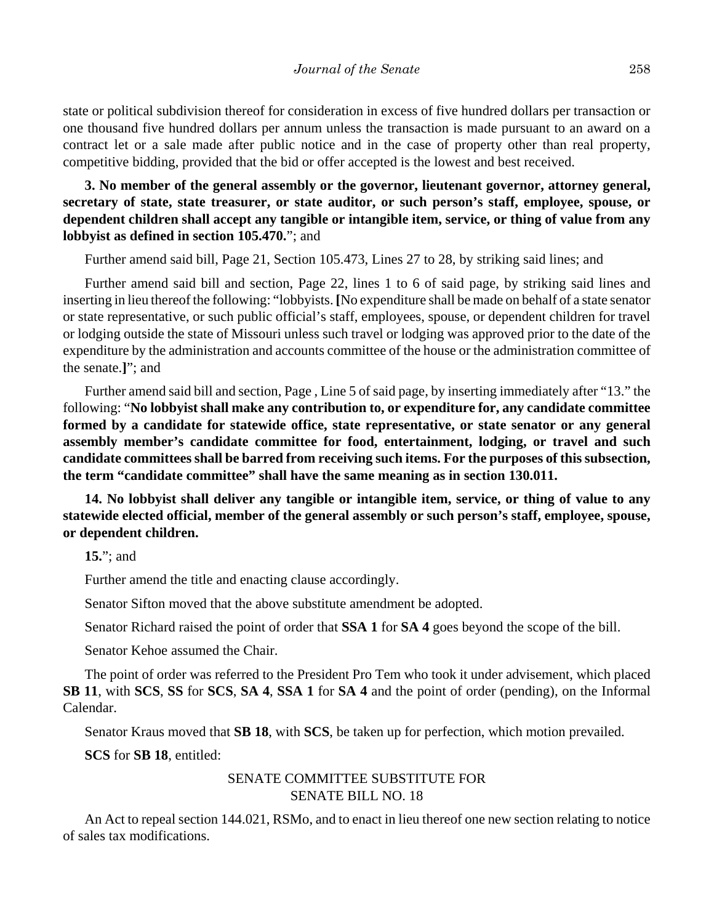state or political subdivision thereof for consideration in excess of five hundred dollars per transaction or one thousand five hundred dollars per annum unless the transaction is made pursuant to an award on a contract let or a sale made after public notice and in the case of property other than real property, competitive bidding, provided that the bid or offer accepted is the lowest and best received.

**3. No member of the general assembly or the governor, lieutenant governor, attorney general, secretary of state, state treasurer, or state auditor, or such person's staff, employee, spouse, or dependent children shall accept any tangible or intangible item, service, or thing of value from any lobbyist as defined in section 105.470.**"; and

Further amend said bill, Page 21, Section 105.473, Lines 27 to 28, by striking said lines; and

Further amend said bill and section, Page 22, lines 1 to 6 of said page, by striking said lines and inserting in lieu thereof the following: "lobbyists. **[**No expenditure shall be made on behalf of a state senator or state representative, or such public official's staff, employees, spouse, or dependent children for travel or lodging outside the state of Missouri unless such travel or lodging was approved prior to the date of the expenditure by the administration and accounts committee of the house or the administration committee of the senate.**]**"; and

Further amend said bill and section, Page , Line 5 of said page, by inserting immediately after "13." the following: "**No lobbyist shall make any contribution to, or expenditure for, any candidate committee formed by a candidate for statewide office, state representative, or state senator or any general assembly member's candidate committee for food, entertainment, lodging, or travel and such candidate committees shall be barred from receiving such items. For the purposes of this subsection, the term "candidate committee" shall have the same meaning as in section 130.011.**

**14. No lobbyist shall deliver any tangible or intangible item, service, or thing of value to any statewide elected official, member of the general assembly or such person's staff, employee, spouse, or dependent children.**

**15.**"; and

Further amend the title and enacting clause accordingly.

Senator Sifton moved that the above substitute amendment be adopted.

Senator Richard raised the point of order that **SSA 1** for **SA 4** goes beyond the scope of the bill.

Senator Kehoe assumed the Chair.

The point of order was referred to the President Pro Tem who took it under advisement, which placed **SB 11**, with **SCS**, **SS** for **SCS**, **SA 4**, **SSA 1** for **SA 4** and the point of order (pending), on the Informal Calendar.

Senator Kraus moved that **SB 18**, with **SCS**, be taken up for perfection, which motion prevailed.

**SCS** for **SB 18**, entitled:

## SENATE COMMITTEE SUBSTITUTE FOR SENATE BILL NO. 18

An Act to repeal section 144.021, RSMo, and to enact in lieu thereof one new section relating to notice of sales tax modifications.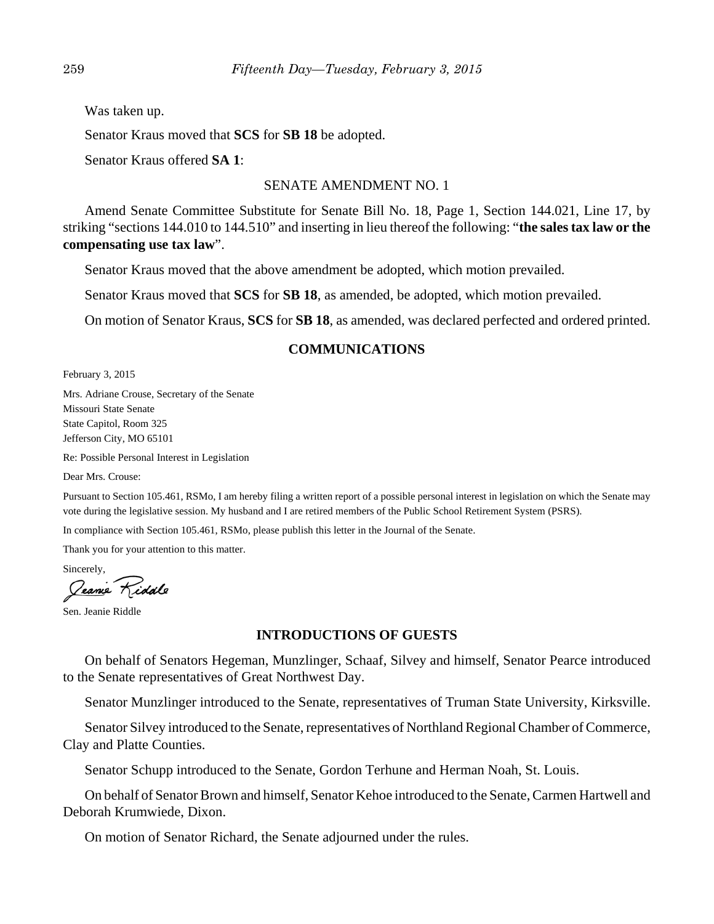Was taken up.

Senator Kraus moved that **SCS** for **SB 18** be adopted.

Senator Kraus offered **SA 1**:

## SENATE AMENDMENT NO. 1

Amend Senate Committee Substitute for Senate Bill No. 18, Page 1, Section 144.021, Line 17, by striking "sections 144.010 to 144.510" and inserting in lieu thereof the following: "**the sales tax law or the compensating use tax law**".

Senator Kraus moved that the above amendment be adopted, which motion prevailed.

Senator Kraus moved that **SCS** for **SB 18**, as amended, be adopted, which motion prevailed.

On motion of Senator Kraus, **SCS** for **SB 18**, as amended, was declared perfected and ordered printed.

## **COMMUNICATIONS**

February 3, 2015

Mrs. Adriane Crouse, Secretary of the Senate Missouri State Senate State Capitol, Room 325 Jefferson City, MO 65101

Re: Possible Personal Interest in Legislation

Dear Mrs. Crouse:

Pursuant to Section 105.461, RSMo, I am hereby filing a written report of a possible personal interest in legislation on which the Senate may vote during the legislative session. My husband and I are retired members of the Public School Retirement System (PSRS).

In compliance with Section 105.461, RSMo, please publish this letter in the Journal of the Senate.

Thank you for your attention to this matter.

Sincerely, Jeanne Kiddle

Sen. Jeanie Riddle

## **INTRODUCTIONS OF GUESTS**

On behalf of Senators Hegeman, Munzlinger, Schaaf, Silvey and himself, Senator Pearce introduced to the Senate representatives of Great Northwest Day.

Senator Munzlinger introduced to the Senate, representatives of Truman State University, Kirksville.

Senator Silvey introduced to the Senate, representatives of Northland Regional Chamber of Commerce, Clay and Platte Counties.

Senator Schupp introduced to the Senate, Gordon Terhune and Herman Noah, St. Louis.

On behalf of Senator Brown and himself, Senator Kehoe introduced to the Senate, Carmen Hartwell and Deborah Krumwiede, Dixon.

On motion of Senator Richard, the Senate adjourned under the rules.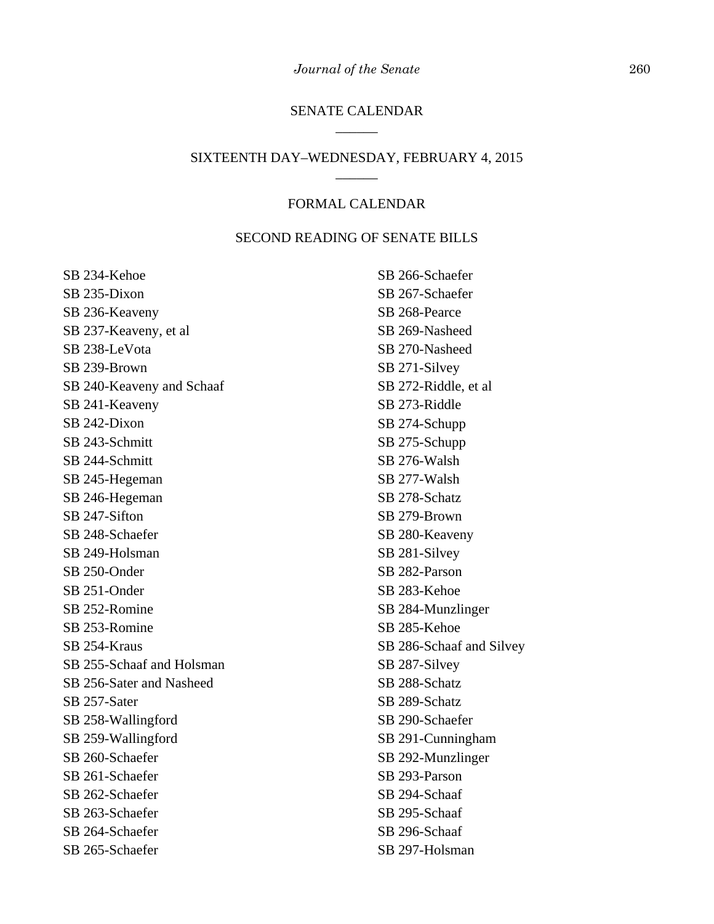## SENATE CALENDAR \_\_\_\_\_\_

#### SIXTEENTH DAY–WEDNESDAY, FEBRUARY 4, 2015 \_\_\_\_\_\_

### FORMAL CALENDAR

## SECOND READING OF SENATE BILLS

SB 234-Kehoe SB 235-Dixon SB 236-Keaveny SB 237-Keaveny, et al SB 238-LeVota SB 239-Brown SB 240-Keaveny and Schaaf SB 241-Keaveny SB 242-Dixon SB 243-Schmitt SB 244-Schmitt SB 245-Hegeman SB 246-Hegeman SB 247-Sifton SB 248-Schaefer SB 249-Holsman SB 250-Onder SB 251-Onder SB 252-Romine SB 253-Romine SB 254-Kraus SB 255-Schaaf and Holsman SB 256-Sater and Nasheed SB 257-Sater SB 258-Wallingford SB 259-Wallingford SB 260-Schaefer SB 261-Schaefer SB 262-Schaefer SB 263-Schaefer SB 264-Schaefer SB 265-Schaefer

SB 266-Schaefer SB 267-Schaefer SB 268-Pearce SB 269-Nasheed SB 270-Nasheed SB 271-Silvey SB 272-Riddle, et al SB 273-Riddle SB 274-Schupp SB 275-Schupp SB 276-Walsh SB 277-Walsh SB 278-Schatz SB 279-Brown SB 280-Keaveny SB 281-Silvey SB 282-Parson SB 283-Kehoe SB 284-Munzlinger SB 285-Kehoe SB 286-Schaaf and Silvey SB 287-Silvey SB 288-Schatz SB 289-Schatz SB 290-Schaefer SB 291-Cunningham SB 292-Munzlinger SB 293-Parson SB 294-Schaaf SB 295-Schaaf SB 296-Schaaf SB 297-Holsman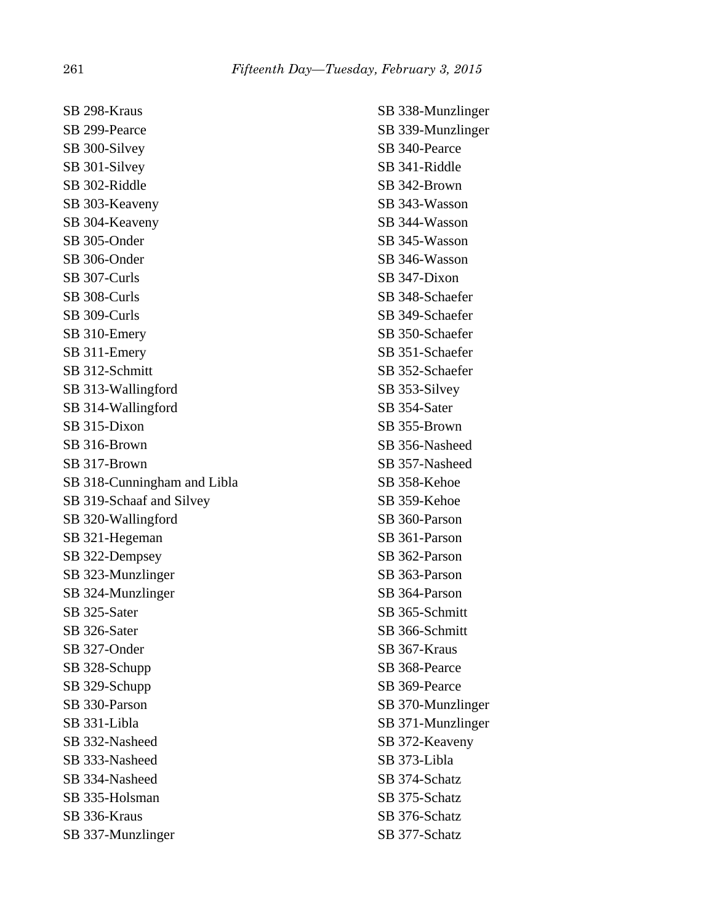SB 298-Kraus SB 299-Pearce SB 300-Silvey SB 301-Silvey SB 302-Riddle SB 303-Keaveny SB 304-Keaveny SB 305-Onder SB 306-Onder SB 307-Curls SB 308-Curls SB 309-Curls SB 310-Emery SB 311-Emery SB 312-Schmitt SB 313-Wallingford SB 314-Wallingford SB 315-Dixon SB 316-Brown SB 317-Brown SB 318-Cunningham and Libla SB 319-Schaaf and Silvey SB 320-Wallingford SB 321-Hegeman SB 322-Dempsey SB 323-Munzlinger SB 324-Munzlinger SB 325-Sater SB 326-Sater SB 327-Onder SB 328-Schupp SB 329-Schupp SB 330-Parson SB 331-Libla SB 332-Nasheed SB 333-Nasheed SB 334-Nasheed SB 335-Holsman SB 336-Kraus SB 337-Munzlinger

SB 338-Munzlinger SB 339-Munzlinger SB 340-Pearce SB 341-Riddle SB 342-Brown SB 343-Wasson SB 344-Wasson SB 345-Wasson SB 346-Wasson SB 347-Dixon SB 348-Schaefer SB 349-Schaefer SB 350-Schaefer SB 351-Schaefer SB 352-Schaefer SB 353-Silvey SB 354-Sater SB 355-Brown SB 356-Nasheed SB 357-Nasheed SB 358-Kehoe SB 359-Kehoe SB 360-Parson SB 361-Parson SB 362-Parson SB 363-Parson SB 364-Parson SB 365-Schmitt SB 366-Schmitt SB 367-Kraus SB 368-Pearce SB 369-Pearce SB 370-Munzlinger SB 371-Munzlinger SB 372-Keaveny SB 373-Libla SB 374-Schatz SB 375-Schatz SB 376-Schatz SB 377-Schatz